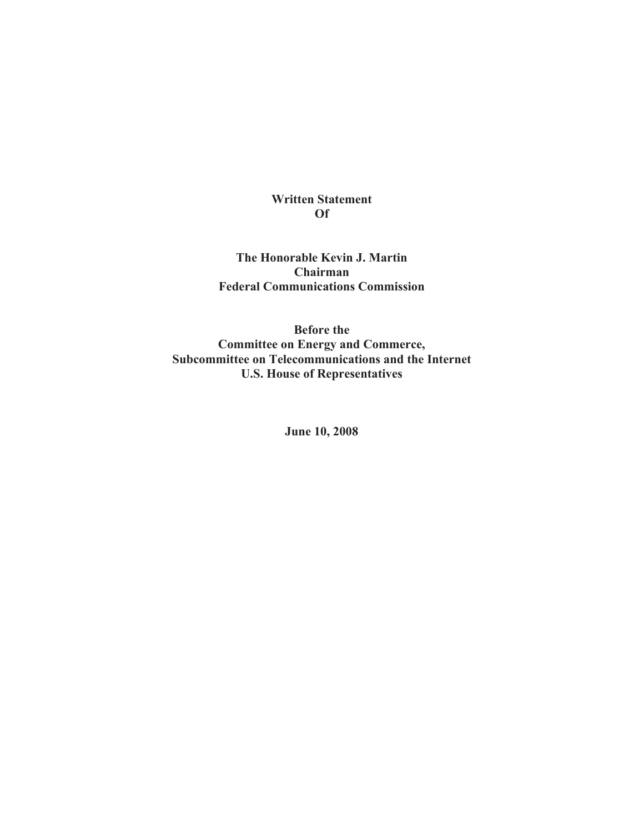#### **Written Statement Of**

**The Honorable Kevin J. Martin Chairman Federal Communications Commission**

**Before the Committee on Energy and Commerce, Subcommittee on Telecommunications and the Internet U.S. House of Representatives**

**June 10, 2008**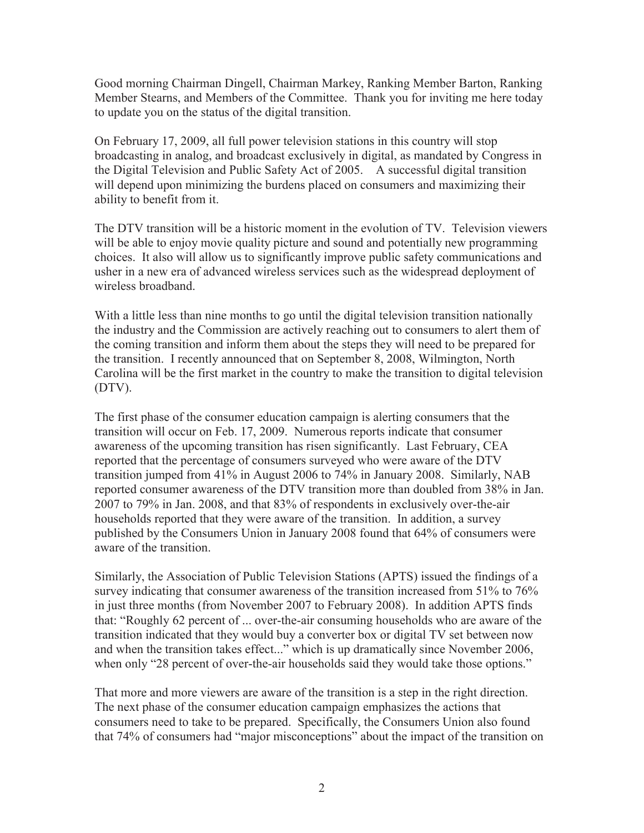Good morning Chairman Dingell, Chairman Markey, Ranking Member Barton, Ranking Member Stearns, and Members of the Committee. Thank you for inviting me here today to update you on the status of the digital transition.

On February 17, 2009, all full power television stations in this country will stop broadcasting in analog, and broadcast exclusively in digital, as mandated by Congress in the Digital Television and Public Safety Act of 2005. A successful digital transition will depend upon minimizing the burdens placed on consumers and maximizing their ability to benefit from it.

The DTV transition will be a historic moment in the evolution of TV. Television viewers will be able to enjoy movie quality picture and sound and potentially new programming choices. It also will allow us to significantly improve public safety communications and usher in a new era of advanced wireless services such as the widespread deployment of wireless broadband.

With a little less than nine months to go until the digital television transition nationally the industry and the Commission are actively reaching out to consumers to alert them of the coming transition and inform them about the steps they will need to be prepared for the transition. I recently announced that on September 8, 2008, Wilmington, North Carolina will be the first market in the country to make the transition to digital television (DTV).

The first phase of the consumer education campaign is alerting consumers that the transition will occur on Feb. 17, 2009. Numerous reports indicate that consumer awareness of the upcoming transition has risen significantly. Last February, CEA reported that the percentage of consumers surveyed who were aware of the DTV transition jumped from 41% in August 2006 to 74% in January 2008. Similarly, NAB reported consumer awareness of the DTV transition more than doubled from 38% in Jan. 2007 to 79% in Jan. 2008, and that 83% of respondents in exclusively over-the-air households reported that they were aware of the transition. In addition, a survey published by the Consumers Union in January 2008 found that 64% of consumers were aware of the transition.

Similarly, the Association of Public Television Stations (APTS) issued the findings of a survey indicating that consumer awareness of the transition increased from 51% to 76% in just three months (from November 2007 to February 2008). In addition APTS finds that: "Roughly 62 percent of ... over-the-air consuming households who are aware of the transition indicated that they would buy a converter box or digital TV set between now and when the transition takes effect..." which is up dramatically since November 2006, when only "28 percent of over-the-air households said they would take those options."

That more and more viewers are aware of the transition is a step in the right direction. The next phase of the consumer education campaign emphasizes the actions that consumers need to take to be prepared. Specifically, the Consumers Union also found that 74% of consumers had "major misconceptions" about the impact of the transition on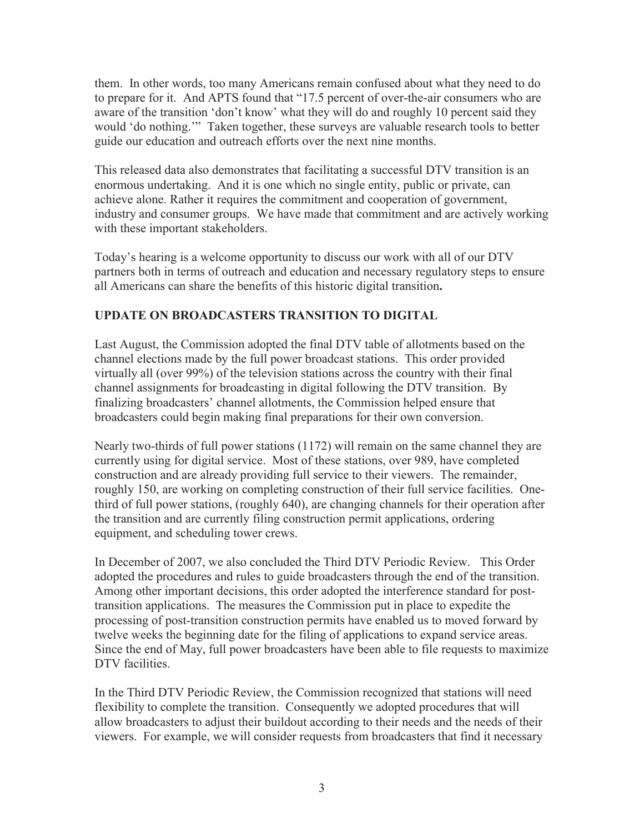them. In other words, too many Americans remain confused about what they need to do to prepare for it. And APTS found that "17.5 percent of over-the-air consumers who are aware of the transition 'don't know' what they will do and roughly 10 percent said they would 'do nothing.'" Taken together, these surveys are valuable research tools to better guide our education and outreach efforts over the next nine months.

This released data also demonstrates that facilitating a successful DTV transition is an enormous undertaking. And it is one which no single entity, public or private, can achieve alone. Rather it requires the commitment and cooperation of government, industry and consumer groups. We have made that commitment and are actively working with these important stakeholders.

Today's hearing is a welcome opportunity to discuss our work with all of our DTV partners both in terms of outreach and education and necessary regulatory steps to ensure all Americans can share the benefits of this historic digital transition**.** 

## **UPDATE ON BROADCASTERS TRANSITION TO DIGITAL**

Last August, the Commission adopted the final DTV table of allotments based on the channel elections made by the full power broadcast stations. This order provided virtually all (over 99%) of the television stations across the country with their final channel assignments for broadcasting in digital following the DTV transition. By finalizing broadcasters' channel allotments, the Commission helped ensure that broadcasters could begin making final preparations for their own conversion.

Nearly two-thirds of full power stations (1172) will remain on the same channel they are currently using for digital service. Most of these stations, over 989, have completed construction and are already providing full service to their viewers. The remainder, roughly 150, are working on completing construction of their full service facilities. Onethird of full power stations, (roughly 640), are changing channels for their operation after the transition and are currently filing construction permit applications, ordering equipment, and scheduling tower crews.

In December of 2007, we also concluded the Third DTV Periodic Review. This Order adopted the procedures and rules to guide broadcasters through the end of the transition. Among other important decisions, this order adopted the interference standard for posttransition applications. The measures the Commission put in place to expedite the processing of post-transition construction permits have enabled us to moved forward by twelve weeks the beginning date for the filing of applications to expand service areas. Since the end of May, full power broadcasters have been able to file requests to maximize DTV facilities.

In the Third DTV Periodic Review, the Commission recognized that stations will need flexibility to complete the transition. Consequently we adopted procedures that will allow broadcasters to adjust their buildout according to their needs and the needs of their viewers. For example, we will consider requests from broadcasters that find it necessary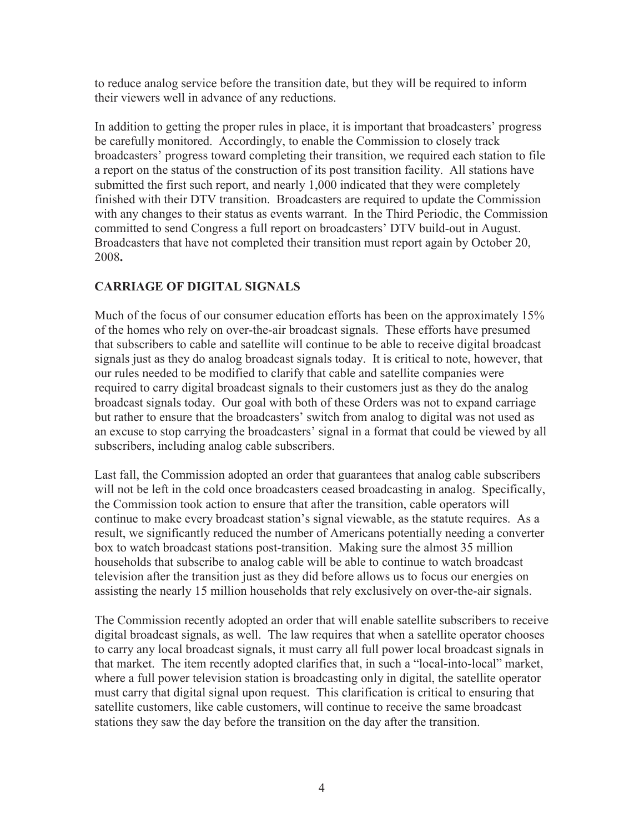to reduce analog service before the transition date, but they will be required to inform their viewers well in advance of any reductions.

In addition to getting the proper rules in place, it is important that broadcasters' progress be carefully monitored. Accordingly, to enable the Commission to closely track broadcasters' progress toward completing their transition, we required each station to file a report on the status of the construction of its post transition facility. All stations have submitted the first such report, and nearly 1,000 indicated that they were completely finished with their DTV transition. Broadcasters are required to update the Commission with any changes to their status as events warrant. In the Third Periodic, the Commission committed to send Congress a full report on broadcasters' DTV build-out in August. Broadcasters that have not completed their transition must report again by October 20, 2008**.**

## **CARRIAGE OF DIGITAL SIGNALS**

Much of the focus of our consumer education efforts has been on the approximately 15% of the homes who rely on over-the-air broadcast signals. These efforts have presumed that subscribers to cable and satellite will continue to be able to receive digital broadcast signals just as they do analog broadcast signals today. It is critical to note, however, that our rules needed to be modified to clarify that cable and satellite companies were required to carry digital broadcast signals to their customers just as they do the analog broadcast signals today. Our goal with both of these Orders was not to expand carriage but rather to ensure that the broadcasters' switch from analog to digital was not used as an excuse to stop carrying the broadcasters' signal in a format that could be viewed by all subscribers, including analog cable subscribers.

Last fall, the Commission adopted an order that guarantees that analog cable subscribers will not be left in the cold once broadcasters ceased broadcasting in analog. Specifically, the Commission took action to ensure that after the transition, cable operators will continue to make every broadcast station's signal viewable, as the statute requires. As a result, we significantly reduced the number of Americans potentially needing a converter box to watch broadcast stations post-transition. Making sure the almost 35 million households that subscribe to analog cable will be able to continue to watch broadcast television after the transition just as they did before allows us to focus our energies on assisting the nearly 15 million households that rely exclusively on over-the-air signals.

The Commission recently adopted an order that will enable satellite subscribers to receive digital broadcast signals, as well. The law requires that when a satellite operator chooses to carry any local broadcast signals, it must carry all full power local broadcast signals in that market. The item recently adopted clarifies that, in such a "local-into-local" market, where a full power television station is broadcasting only in digital, the satellite operator must carry that digital signal upon request. This clarification is critical to ensuring that satellite customers, like cable customers, will continue to receive the same broadcast stations they saw the day before the transition on the day after the transition.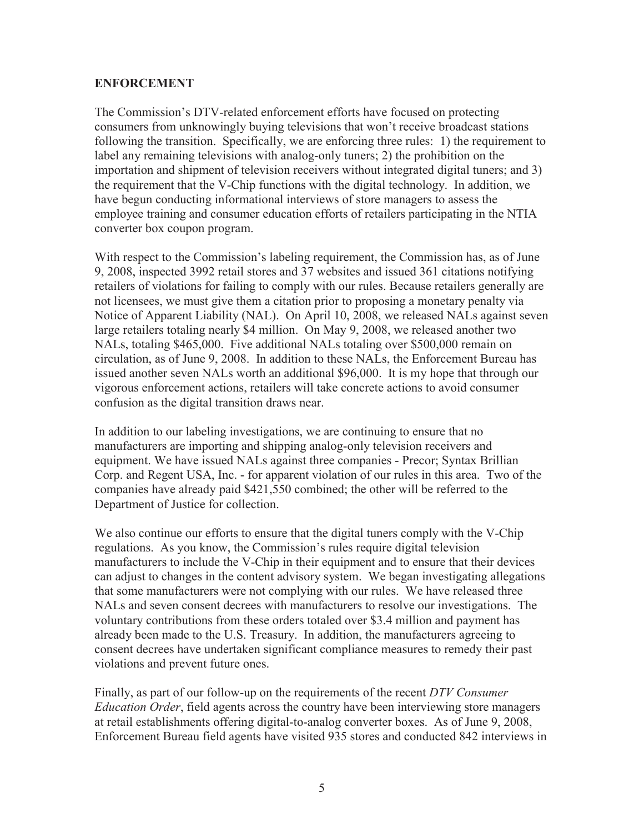### **ENFORCEMENT**

The Commission's DTV-related enforcement efforts have focused on protecting consumers from unknowingly buying televisions that won't receive broadcast stations following the transition. Specifically, we are enforcing three rules: 1) the requirement to label any remaining televisions with analog-only tuners; 2) the prohibition on the importation and shipment of television receivers without integrated digital tuners; and 3) the requirement that the V-Chip functions with the digital technology. In addition, we have begun conducting informational interviews of store managers to assess the employee training and consumer education efforts of retailers participating in the NTIA converter box coupon program.

With respect to the Commission's labeling requirement, the Commission has, as of June 9, 2008, inspected 3992 retail stores and 37 websites and issued 361 citations notifying retailers of violations for failing to comply with our rules. Because retailers generally are not licensees, we must give them a citation prior to proposing a monetary penalty via Notice of Apparent Liability (NAL). On April 10, 2008, we released NALs against seven large retailers totaling nearly \$4 million. On May 9, 2008, we released another two NALs, totaling \$465,000. Five additional NALs totaling over \$500,000 remain on circulation, as of June 9, 2008. In addition to these NALs, the Enforcement Bureau has issued another seven NALs worth an additional \$96,000. It is my hope that through our vigorous enforcement actions, retailers will take concrete actions to avoid consumer confusion as the digital transition draws near.

In addition to our labeling investigations, we are continuing to ensure that no manufacturers are importing and shipping analog-only television receivers and equipment. We have issued NALs against three companies - Precor; Syntax Brillian Corp. and Regent USA, Inc. - for apparent violation of our rules in this area. Two of the companies have already paid \$421,550 combined; the other will be referred to the Department of Justice for collection.

We also continue our efforts to ensure that the digital tuners comply with the V-Chip regulations. As you know, the Commission's rules require digital television manufacturers to include the V-Chip in their equipment and to ensure that their devices can adjust to changes in the content advisory system. We began investigating allegations that some manufacturers were not complying with our rules. We have released three NALs and seven consent decrees with manufacturers to resolve our investigations. The voluntary contributions from these orders totaled over \$3.4 million and payment has already been made to the U.S. Treasury. In addition, the manufacturers agreeing to consent decrees have undertaken significant compliance measures to remedy their past violations and prevent future ones.

Finally, as part of our follow-up on the requirements of the recent *DTV Consumer Education Order*, field agents across the country have been interviewing store managers at retail establishments offering digital-to-analog converter boxes. As of June 9, 2008, Enforcement Bureau field agents have visited 935 stores and conducted 842 interviews in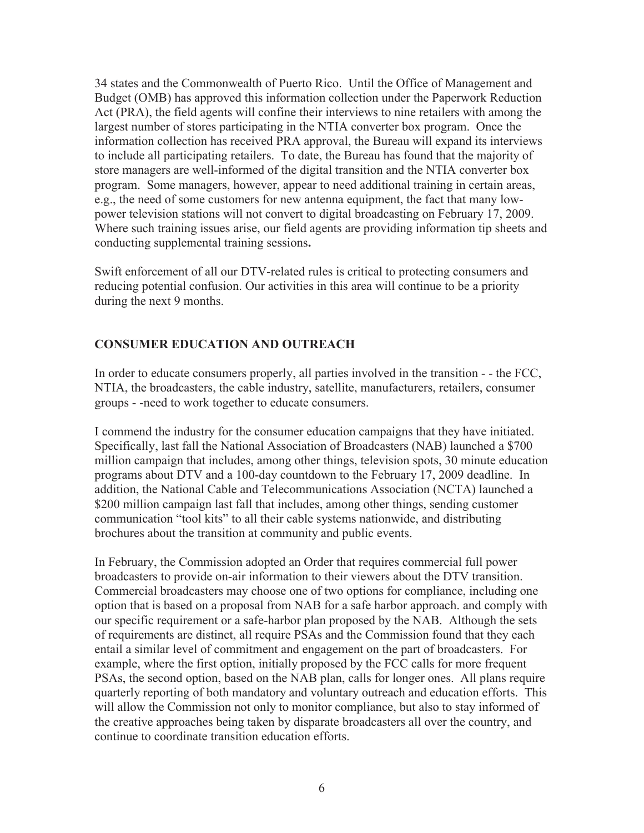34 states and the Commonwealth of Puerto Rico. Until the Office of Management and Budget (OMB) has approved this information collection under the Paperwork Reduction Act (PRA), the field agents will confine their interviews to nine retailers with among the largest number of stores participating in the NTIA converter box program. Once the information collection has received PRA approval, the Bureau will expand its interviews to include all participating retailers. To date, the Bureau has found that the majority of store managers are well-informed of the digital transition and the NTIA converter box program. Some managers, however, appear to need additional training in certain areas, e.g., the need of some customers for new antenna equipment, the fact that many lowpower television stations will not convert to digital broadcasting on February 17, 2009. Where such training issues arise, our field agents are providing information tip sheets and conducting supplemental training sessions**.**

Swift enforcement of all our DTV-related rules is critical to protecting consumers and reducing potential confusion. Our activities in this area will continue to be a priority during the next 9 months.

## **CONSUMER EDUCATION AND OUTREACH**

In order to educate consumers properly, all parties involved in the transition - - the FCC, NTIA, the broadcasters, the cable industry, satellite, manufacturers, retailers, consumer groups - -need to work together to educate consumers.

I commend the industry for the consumer education campaigns that they have initiated. Specifically, last fall the National Association of Broadcasters (NAB) launched a \$700 million campaign that includes, among other things, television spots, 30 minute education programs about DTV and a 100-day countdown to the February 17, 2009 deadline. In addition, the National Cable and Telecommunications Association (NCTA) launched a \$200 million campaign last fall that includes, among other things, sending customer communication "tool kits" to all their cable systems nationwide, and distributing brochures about the transition at community and public events.

In February, the Commission adopted an Order that requires commercial full power broadcasters to provide on-air information to their viewers about the DTV transition. Commercial broadcasters may choose one of two options for compliance, including one option that is based on a proposal from NAB for a safe harbor approach. and comply with our specific requirement or a safe-harbor plan proposed by the NAB. Although the sets of requirements are distinct, all require PSAs and the Commission found that they each entail a similar level of commitment and engagement on the part of broadcasters. For example, where the first option, initially proposed by the FCC calls for more frequent PSAs, the second option, based on the NAB plan, calls for longer ones. All plans require quarterly reporting of both mandatory and voluntary outreach and education efforts. This will allow the Commission not only to monitor compliance, but also to stay informed of the creative approaches being taken by disparate broadcasters all over the country, and continue to coordinate transition education efforts.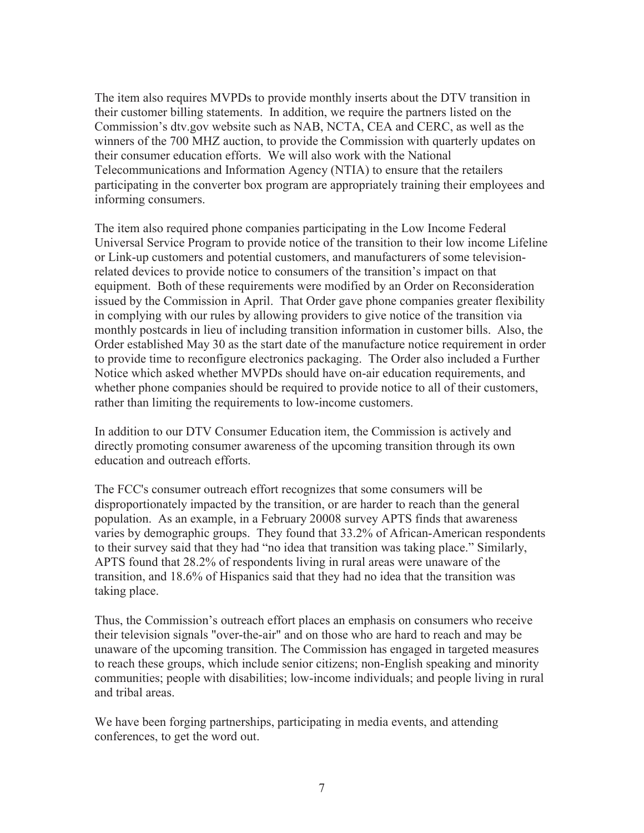The item also requires MVPDs to provide monthly inserts about the DTV transition in their customer billing statements. In addition, we require the partners listed on the Commission's dtv.gov website such as NAB, NCTA, CEA and CERC, as well as the winners of the 700 MHZ auction, to provide the Commission with quarterly updates on their consumer education efforts. We will also work with the National Telecommunications and Information Agency (NTIA) to ensure that the retailers participating in the converter box program are appropriately training their employees and informing consumers.

The item also required phone companies participating in the Low Income Federal Universal Service Program to provide notice of the transition to their low income Lifeline or Link-up customers and potential customers, and manufacturers of some televisionrelated devices to provide notice to consumers of the transition's impact on that equipment. Both of these requirements were modified by an Order on Reconsideration issued by the Commission in April. That Order gave phone companies greater flexibility in complying with our rules by allowing providers to give notice of the transition via monthly postcards in lieu of including transition information in customer bills. Also, the Order established May 30 as the start date of the manufacture notice requirement in order to provide time to reconfigure electronics packaging. The Order also included a Further Notice which asked whether MVPDs should have on-air education requirements, and whether phone companies should be required to provide notice to all of their customers, rather than limiting the requirements to low-income customers.

In addition to our DTV Consumer Education item, the Commission is actively and directly promoting consumer awareness of the upcoming transition through its own education and outreach efforts.

The FCC's consumer outreach effort recognizes that some consumers will be disproportionately impacted by the transition, or are harder to reach than the general population. As an example, in a February 20008 survey APTS finds that awareness varies by demographic groups. They found that 33.2% of African-American respondents to their survey said that they had "no idea that transition was taking place." Similarly, APTS found that 28.2% of respondents living in rural areas were unaware of the transition, and 18.6% of Hispanics said that they had no idea that the transition was taking place.

Thus, the Commission's outreach effort places an emphasis on consumers who receive their television signals "over-the-air" and on those who are hard to reach and may be unaware of the upcoming transition. The Commission has engaged in targeted measures to reach these groups, which include senior citizens; non-English speaking and minority communities; people with disabilities; low-income individuals; and people living in rural and tribal areas.

We have been forging partnerships, participating in media events, and attending conferences, to get the word out.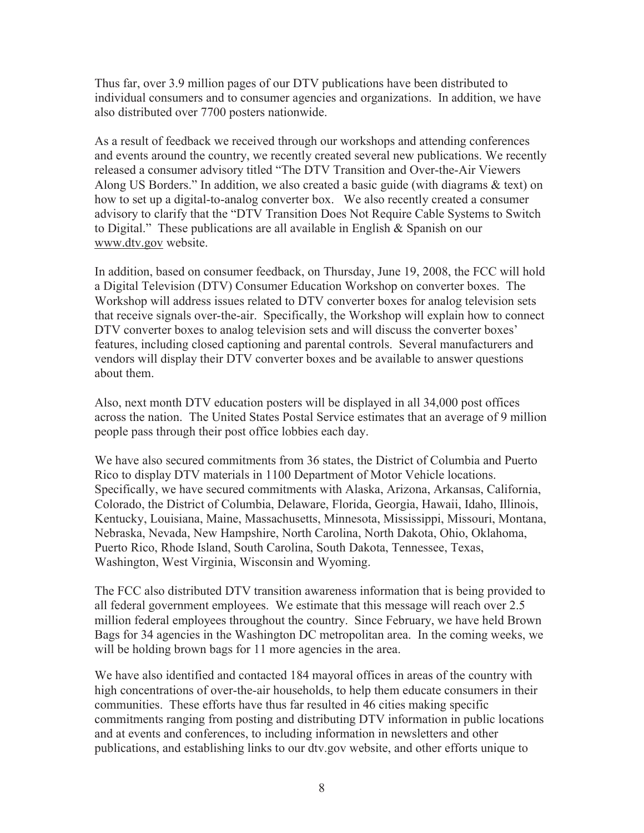Thus far, over 3.9 million pages of our DTV publications have been distributed to individual consumers and to consumer agencies and organizations. In addition, we have also distributed over 7700 posters nationwide.

As a result of feedback we received through our workshops and attending conferences and events around the country, we recently created several new publications. We recently released a consumer advisory titled "The DTV Transition and Over-the-Air Viewers Along US Borders." In addition, we also created a basic guide (with diagrams & text) on how to set up a digital-to-analog converter box. We also recently created a consumer advisory to clarify that the "DTV Transition Does Not Require Cable Systems to Switch to Digital." These publications are all available in English & Spanish on our www.dtv.gov website.

In addition, based on consumer feedback, on Thursday, June 19, 2008, the FCC will hold a Digital Television (DTV) Consumer Education Workshop on converter boxes. The Workshop will address issues related to DTV converter boxes for analog television sets that receive signals over-the-air. Specifically, the Workshop will explain how to connect DTV converter boxes to analog television sets and will discuss the converter boxes' features, including closed captioning and parental controls. Several manufacturers and vendors will display their DTV converter boxes and be available to answer questions about them.

Also, next month DTV education posters will be displayed in all 34,000 post offices across the nation. The United States Postal Service estimates that an average of 9 million people pass through their post office lobbies each day.

We have also secured commitments from 36 states, the District of Columbia and Puerto Rico to display DTV materials in 1100 Department of Motor Vehicle locations. Specifically, we have secured commitments with Alaska, Arizona, Arkansas, California, Colorado, the District of Columbia, Delaware, Florida, Georgia, Hawaii, Idaho, Illinois, Kentucky, Louisiana, Maine, Massachusetts, Minnesota, Mississippi, Missouri, Montana, Nebraska, Nevada, New Hampshire, North Carolina, North Dakota, Ohio, Oklahoma, Puerto Rico, Rhode Island, South Carolina, South Dakota, Tennessee, Texas, Washington, West Virginia, Wisconsin and Wyoming.

The FCC also distributed DTV transition awareness information that is being provided to all federal government employees. We estimate that this message will reach over 2.5 million federal employees throughout the country. Since February, we have held Brown Bags for 34 agencies in the Washington DC metropolitan area. In the coming weeks, we will be holding brown bags for 11 more agencies in the area.

We have also identified and contacted 184 mayoral offices in areas of the country with high concentrations of over-the-air households, to help them educate consumers in their communities. These efforts have thus far resulted in 46 cities making specific commitments ranging from posting and distributing DTV information in public locations and at events and conferences, to including information in newsletters and other publications, and establishing links to our dtv.gov website, and other efforts unique to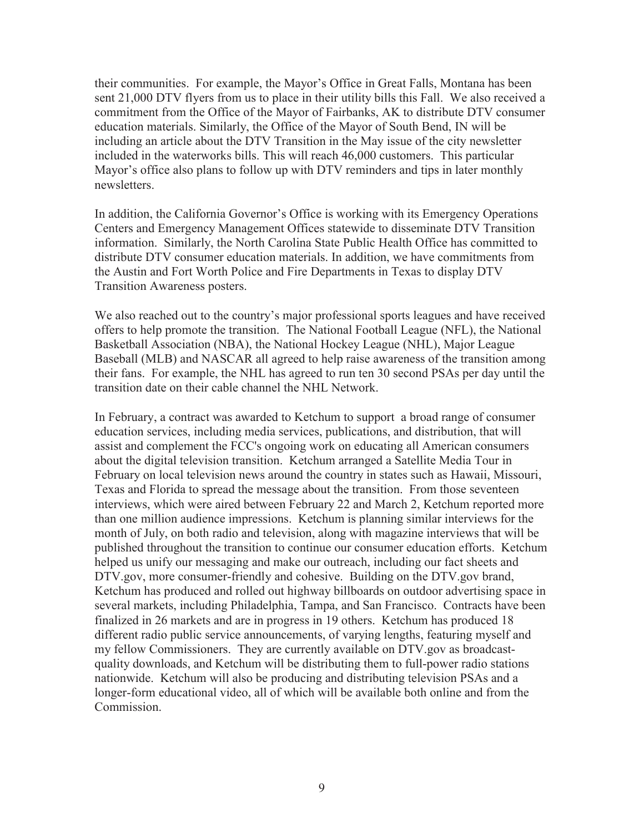their communities. For example, the Mayor's Office in Great Falls, Montana has been sent 21,000 DTV flyers from us to place in their utility bills this Fall. We also received a commitment from the Office of the Mayor of Fairbanks, AK to distribute DTV consumer education materials. Similarly, the Office of the Mayor of South Bend, IN will be including an article about the DTV Transition in the May issue of the city newsletter included in the waterworks bills. This will reach 46,000 customers. This particular Mayor's office also plans to follow up with DTV reminders and tips in later monthly newsletters.

In addition, the California Governor's Office is working with its Emergency Operations Centers and Emergency Management Offices statewide to disseminate DTV Transition information. Similarly, the North Carolina State Public Health Office has committed to distribute DTV consumer education materials. In addition, we have commitments from the Austin and Fort Worth Police and Fire Departments in Texas to display DTV Transition Awareness posters.

We also reached out to the country's major professional sports leagues and have received offers to help promote the transition. The National Football League (NFL), the National Basketball Association (NBA), the National Hockey League (NHL), Major League Baseball (MLB) and NASCAR all agreed to help raise awareness of the transition among their fans. For example, the NHL has agreed to run ten 30 second PSAs per day until the transition date on their cable channel the NHL Network.

In February, a contract was awarded to Ketchum to support a broad range of consumer education services, including media services, publications, and distribution, that will assist and complement the FCC's ongoing work on educating all American consumers about the digital television transition. Ketchum arranged a Satellite Media Tour in February on local television news around the country in states such as Hawaii, Missouri, Texas and Florida to spread the message about the transition. From those seventeen interviews, which were aired between February 22 and March 2, Ketchum reported more than one million audience impressions. Ketchum is planning similar interviews for the month of July, on both radio and television, along with magazine interviews that will be published throughout the transition to continue our consumer education efforts. Ketchum helped us unify our messaging and make our outreach, including our fact sheets and DTV.gov, more consumer-friendly and cohesive. Building on the DTV.gov brand, Ketchum has produced and rolled out highway billboards on outdoor advertising space in several markets, including Philadelphia, Tampa, and San Francisco. Contracts have been finalized in 26 markets and are in progress in 19 others. Ketchum has produced 18 different radio public service announcements, of varying lengths, featuring myself and my fellow Commissioners. They are currently available on DTV.gov as broadcastquality downloads, and Ketchum will be distributing them to full-power radio stations nationwide. Ketchum will also be producing and distributing television PSAs and a longer-form educational video, all of which will be available both online and from the Commission.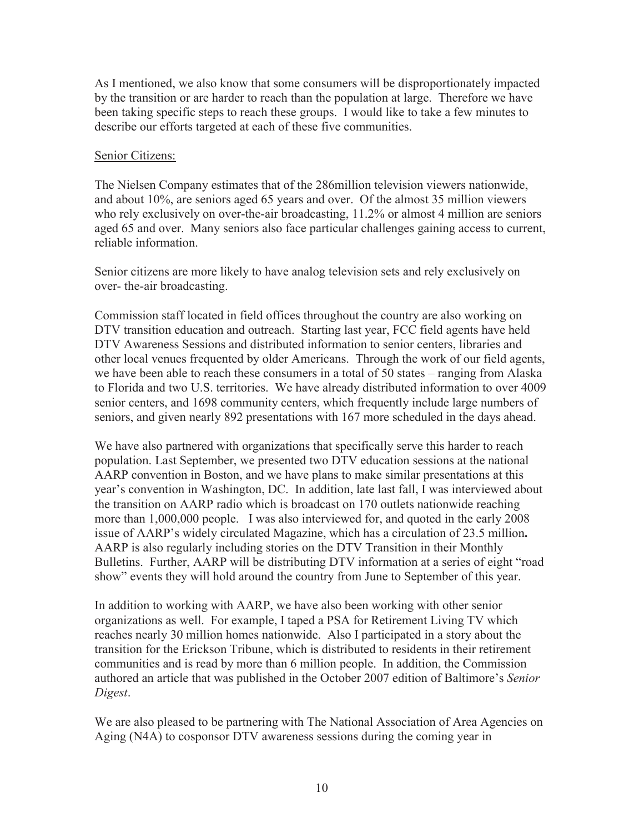As I mentioned, we also know that some consumers will be disproportionately impacted by the transition or are harder to reach than the population at large. Therefore we have been taking specific steps to reach these groups. I would like to take a few minutes to describe our efforts targeted at each of these five communities.

### Senior Citizens:

The Nielsen Company estimates that of the 286million television viewers nationwide, and about 10%, are seniors aged 65 years and over. Of the almost 35 million viewers who rely exclusively on over-the-air broadcasting, 11.2% or almost 4 million are seniors aged 65 and over. Many seniors also face particular challenges gaining access to current, reliable information.

Senior citizens are more likely to have analog television sets and rely exclusively on over- the-air broadcasting.

Commission staff located in field offices throughout the country are also working on DTV transition education and outreach. Starting last year, FCC field agents have held DTV Awareness Sessions and distributed information to senior centers, libraries and other local venues frequented by older Americans. Through the work of our field agents, we have been able to reach these consumers in a total of 50 states – ranging from Alaska to Florida and two U.S. territories. We have already distributed information to over 4009 senior centers, and 1698 community centers, which frequently include large numbers of seniors, and given nearly 892 presentations with 167 more scheduled in the days ahead.

We have also partnered with organizations that specifically serve this harder to reach population. Last September, we presented two DTV education sessions at the national AARP convention in Boston, and we have plans to make similar presentations at this year's convention in Washington, DC. In addition, late last fall, I was interviewed about the transition on AARP radio which is broadcast on 170 outlets nationwide reaching more than 1,000,000 people. I was also interviewed for, and quoted in the early 2008 issue of AARP's widely circulated Magazine, which has a circulation of 23.5 million**.** AARP is also regularly including stories on the DTV Transition in their Monthly Bulletins. Further, AARP will be distributing DTV information at a series of eight "road show" events they will hold around the country from June to September of this year.

In addition to working with AARP, we have also been working with other senior organizations as well. For example, I taped a PSA for Retirement Living TV which reaches nearly 30 million homes nationwide. Also I participated in a story about the transition for the Erickson Tribune, which is distributed to residents in their retirement communities and is read by more than 6 million people. In addition, the Commission authored an article that was published in the October 2007 edition of Baltimore's *Senior Digest*.

We are also pleased to be partnering with The National Association of Area Agencies on Aging (N4A) to cosponsor DTV awareness sessions during the coming year in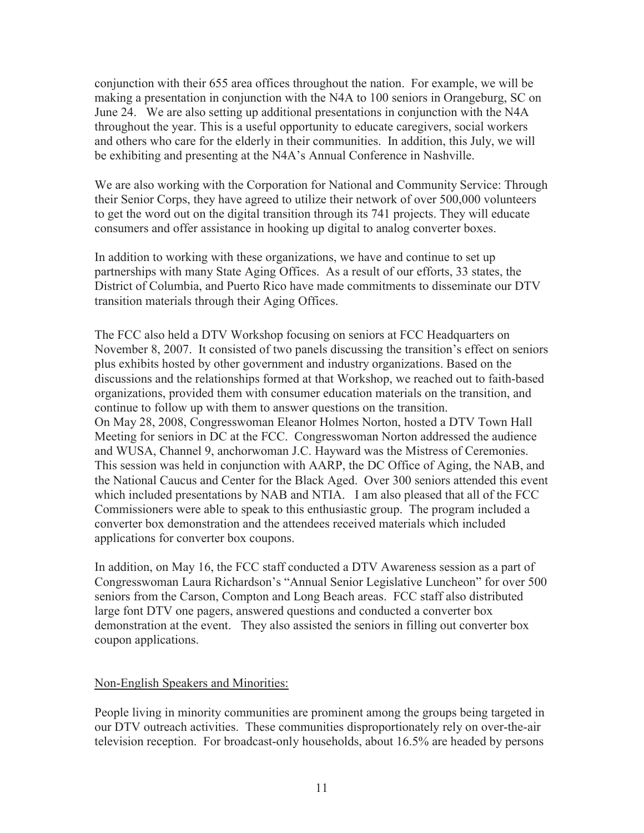conjunction with their 655 area offices throughout the nation. For example, we will be making a presentation in conjunction with the N4A to 100 seniors in Orangeburg, SC on June 24. We are also setting up additional presentations in conjunction with the N4A throughout the year. This is a useful opportunity to educate caregivers, social workers and others who care for the elderly in their communities. In addition, this July, we will be exhibiting and presenting at the N4A's Annual Conference in Nashville.

We are also working with the Corporation for National and Community Service: Through their Senior Corps, they have agreed to utilize their network of over 500,000 volunteers to get the word out on the digital transition through its 741 projects. They will educate consumers and offer assistance in hooking up digital to analog converter boxes.

In addition to working with these organizations, we have and continue to set up partnerships with many State Aging Offices. As a result of our efforts, 33 states, the District of Columbia, and Puerto Rico have made commitments to disseminate our DTV transition materials through their Aging Offices.

The FCC also held a DTV Workshop focusing on seniors at FCC Headquarters on November 8, 2007. It consisted of two panels discussing the transition's effect on seniors plus exhibits hosted by other government and industry organizations. Based on the discussions and the relationships formed at that Workshop, we reached out to faith-based organizations, provided them with consumer education materials on the transition, and continue to follow up with them to answer questions on the transition. On May 28, 2008, Congresswoman Eleanor Holmes Norton, hosted a DTV Town Hall Meeting for seniors in DC at the FCC. Congresswoman Norton addressed the audience and WUSA, Channel 9, anchorwoman J.C. Hayward was the Mistress of Ceremonies. This session was held in conjunction with AARP, the DC Office of Aging, the NAB, and the National Caucus and Center for the Black Aged. Over 300 seniors attended this event which included presentations by NAB and NTIA. I am also pleased that all of the FCC Commissioners were able to speak to this enthusiastic group. The program included a converter box demonstration and the attendees received materials which included applications for converter box coupons.

In addition, on May 16, the FCC staff conducted a DTV Awareness session as a part of Congresswoman Laura Richardson's "Annual Senior Legislative Luncheon" for over 500 seniors from the Carson, Compton and Long Beach areas. FCC staff also distributed large font DTV one pagers, answered questions and conducted a converter box demonstration at the event. They also assisted the seniors in filling out converter box coupon applications.

#### Non-English Speakers and Minorities:

People living in minority communities are prominent among the groups being targeted in our DTV outreach activities. These communities disproportionately rely on over-the-air television reception. For broadcast-only households, about 16.5% are headed by persons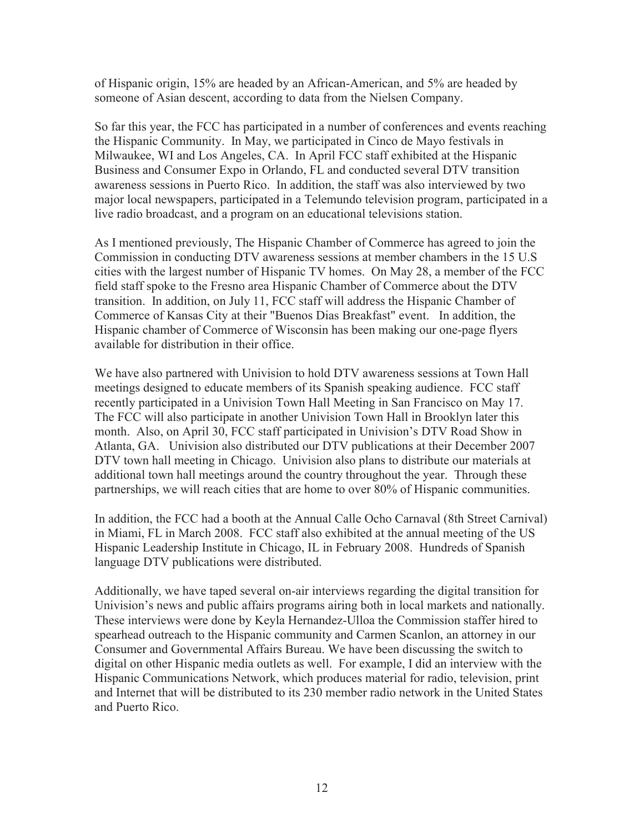of Hispanic origin, 15% are headed by an African-American, and 5% are headed by someone of Asian descent, according to data from the Nielsen Company.

So far this year, the FCC has participated in a number of conferences and events reaching the Hispanic Community. In May, we participated in Cinco de Mayo festivals in Milwaukee, WI and Los Angeles, CA. In April FCC staff exhibited at the Hispanic Business and Consumer Expo in Orlando, FL and conducted several DTV transition awareness sessions in Puerto Rico. In addition, the staff was also interviewed by two major local newspapers, participated in a Telemundo television program, participated in a live radio broadcast, and a program on an educational televisions station.

As I mentioned previously, The Hispanic Chamber of Commerce has agreed to join the Commission in conducting DTV awareness sessions at member chambers in the 15 U.S cities with the largest number of Hispanic TV homes. On May 28, a member of the FCC field staff spoke to the Fresno area Hispanic Chamber of Commerce about the DTV transition. In addition, on July 11, FCC staff will address the Hispanic Chamber of Commerce of Kansas City at their "Buenos Dias Breakfast" event. In addition, the Hispanic chamber of Commerce of Wisconsin has been making our one-page flyers available for distribution in their office.

We have also partnered with Univision to hold DTV awareness sessions at Town Hall meetings designed to educate members of its Spanish speaking audience. FCC staff recently participated in a Univision Town Hall Meeting in San Francisco on May 17. The FCC will also participate in another Univision Town Hall in Brooklyn later this month. Also, on April 30, FCC staff participated in Univision's DTV Road Show in Atlanta, GA. Univision also distributed our DTV publications at their December 2007 DTV town hall meeting in Chicago. Univision also plans to distribute our materials at additional town hall meetings around the country throughout the year. Through these partnerships, we will reach cities that are home to over 80% of Hispanic communities.

In addition, the FCC had a booth at the Annual Calle Ocho Carnaval (8th Street Carnival) in Miami, FL in March 2008. FCC staff also exhibited at the annual meeting of the US Hispanic Leadership Institute in Chicago, IL in February 2008. Hundreds of Spanish language DTV publications were distributed.

Additionally, we have taped several on-air interviews regarding the digital transition for Univision's news and public affairs programs airing both in local markets and nationally. These interviews were done by Keyla Hernandez-Ulloa the Commission staffer hired to spearhead outreach to the Hispanic community and Carmen Scanlon, an attorney in our Consumer and Governmental Affairs Bureau. We have been discussing the switch to digital on other Hispanic media outlets as well. For example, I did an interview with the Hispanic Communications Network, which produces material for radio, television, print and Internet that will be distributed to its 230 member radio network in the United States and Puerto Rico.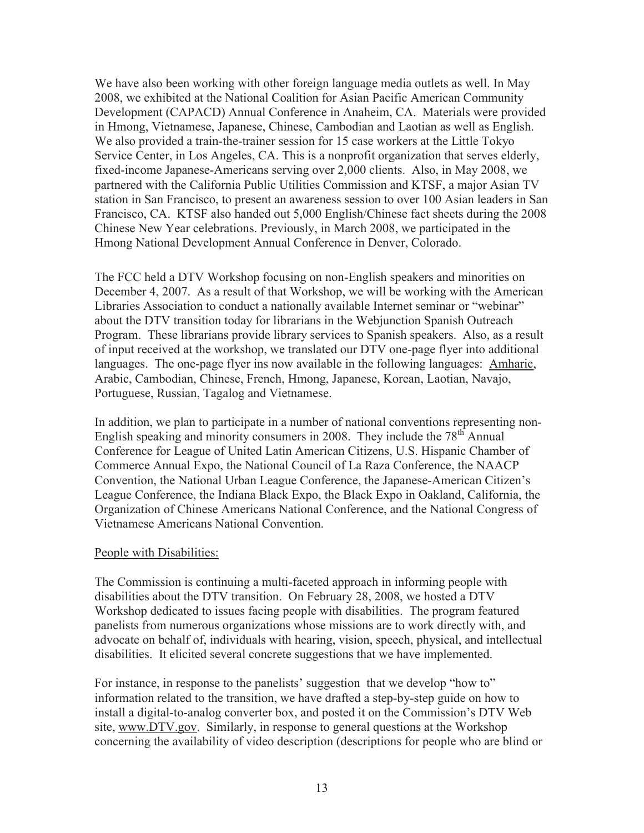We have also been working with other foreign language media outlets as well. In May 2008, we exhibited at the National Coalition for Asian Pacific American Community Development (CAPACD) Annual Conference in Anaheim, CA. Materials were provided in Hmong, Vietnamese, Japanese, Chinese, Cambodian and Laotian as well as English. We also provided a train-the-trainer session for 15 case workers at the Little Tokyo Service Center, in Los Angeles, CA. This is a nonprofit organization that serves elderly, fixed-income Japanese-Americans serving over 2,000 clients. Also, in May 2008, we partnered with the California Public Utilities Commission and KTSF, a major Asian TV station in San Francisco, to present an awareness session to over 100 Asian leaders in San Francisco, CA. KTSF also handed out 5,000 English/Chinese fact sheets during the 2008 Chinese New Year celebrations. Previously, in March 2008, we participated in the Hmong National Development Annual Conference in Denver, Colorado.

The FCC held a DTV Workshop focusing on non-English speakers and minorities on December 4, 2007. As a result of that Workshop, we will be working with the American Libraries Association to conduct a nationally available Internet seminar or "webinar" about the DTV transition today for librarians in the Webjunction Spanish Outreach Program. These librarians provide library services to Spanish speakers. Also, as a result of input received at the workshop, we translated our DTV one-page flyer into additional languages. The one-page flyer ins now available in the following languages: Amharic, Arabic, Cambodian, Chinese, French, Hmong, Japanese, Korean, Laotian, Navajo, Portuguese, Russian, Tagalog and Vietnamese.

In addition, we plan to participate in a number of national conventions representing non-English speaking and minority consumers in 2008. They include the  $78<sup>th</sup>$  Annual Conference for League of United Latin American Citizens, U.S. Hispanic Chamber of Commerce Annual Expo, the National Council of La Raza Conference, the NAACP Convention, the National Urban League Conference, the Japanese-American Citizen's League Conference, the Indiana Black Expo, the Black Expo in Oakland, California, the Organization of Chinese Americans National Conference, and the National Congress of Vietnamese Americans National Convention.

#### People with Disabilities:

The Commission is continuing a multi-faceted approach in informing people with disabilities about the DTV transition. On February 28, 2008, we hosted a DTV Workshop dedicated to issues facing people with disabilities. The program featured panelists from numerous organizations whose missions are to work directly with, and advocate on behalf of, individuals with hearing, vision, speech, physical, and intellectual disabilities. It elicited several concrete suggestions that we have implemented.

For instance, in response to the panelists' suggestion that we develop "how to" information related to the transition, we have drafted a step-by-step guide on how to install a digital-to-analog converter box, and posted it on the Commission's DTV Web site, www.DTV.gov. Similarly, in response to general questions at the Workshop concerning the availability of video description (descriptions for people who are blind or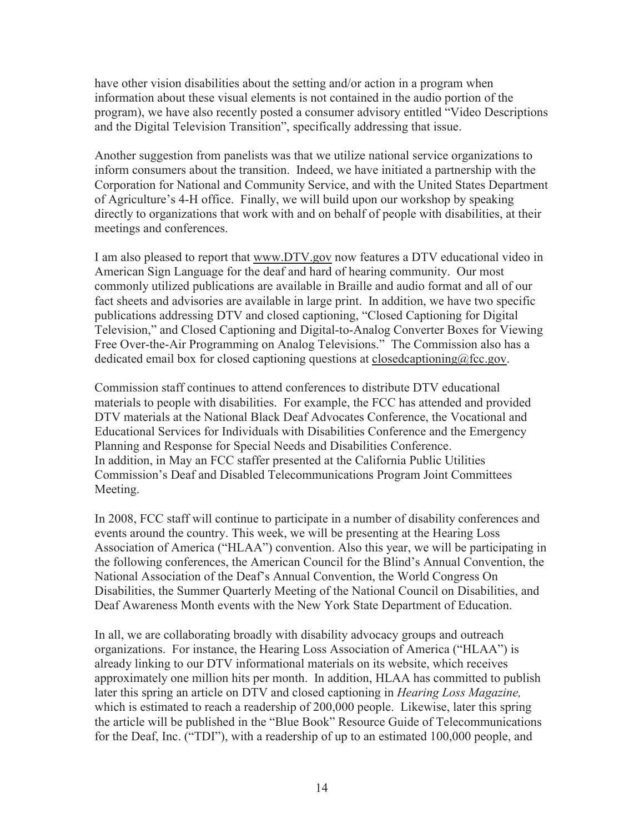have other vision disabilities about the setting and/or action in a program when information about these visual elements is not contained in the audio portion of the program), we have also recently posted a consumer advisory entitled "Video Descriptions and the Digital Television Transition", specifically addressing that issue.

Another suggestion from panelists was that we utilize national service organizations to inform consumers about the transition. Indeed, we have initiated a partnership with the Corporation for National and Community Service, and with the United States Department of Agriculture's 4-H office. Finally, we will build upon our workshop by speaking directly to organizations that work with and on behalf of people with disabilities, at their meetings and conferences.

I am also pleased to report that www.DTV.gov now features a DTV educational video in American Sign Language for the deaf and hard of hearing community. Our most commonly utilized publications are available in Braille and audio format and all of our fact sheets and advisories are available in large print. In addition, we have two specific publications addressing DTV and closed captioning, "Closed Captioning for Digital Television," and Closed Captioning and Digital-to-Analog Converter Boxes for Viewing Free Over-the-Air Programming on Analog Televisions." The Commission also has a dedicated email box for closed captioning questions at closedcaptioning@fcc.gov.

Commission staff continues to attend conferences to distribute DTV educational materials to people with disabilities. For example, the FCC has attended and provided DTV materials at the National Black Deaf Advocates Conference, the Vocational and Educational Services for Individuals with Disabilities Conference and the Emergency Planning and Response for Special Needs and Disabilities Conference. In addition, in May an FCC staffer presented at the California Public Utilities Commission's Deaf and Disabled Telecommunications Program Joint Committees Meeting.

In 2008, FCC staff will continue to participate in a number of disability conferences and events around the country. This week, we will be presenting at the Hearing Loss Association of America ("HLAA") convention. Also this year, we will be participating in the following conferences, the American Council for the Blind's Annual Convention, the National Association of the Deaf's Annual Convention, the World Congress On Disabilities, the Summer Quarterly Meeting of the National Council on Disabilities, and Deaf Awareness Month events with the New York State Department of Education.

In all, we are collaborating broadly with disability advocacy groups and outreach organizations. For instance, the Hearing Loss Association of America ("HLAA") is already linking to our DTV informational materials on its website, which receives approximately one million hits per month. In addition, HLAA has committed to publish later this spring an article on DTV and closed captioning in *Hearing Loss Magazine,*  which is estimated to reach a readership of 200,000 people. Likewise, later this spring the article will be published in the "Blue Book" Resource Guide of Telecommunications for the Deaf, Inc. ("TDI"), with a readership of up to an estimated 100,000 people, and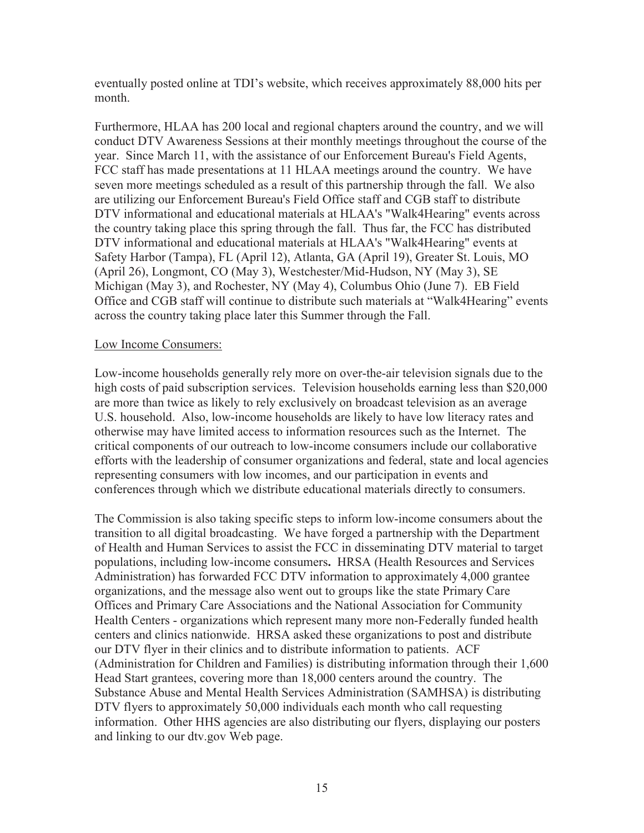eventually posted online at TDI's website, which receives approximately 88,000 hits per month.

Furthermore, HLAA has 200 local and regional chapters around the country, and we will conduct DTV Awareness Sessions at their monthly meetings throughout the course of the year. Since March 11, with the assistance of our Enforcement Bureau's Field Agents, FCC staff has made presentations at 11 HLAA meetings around the country. We have seven more meetings scheduled as a result of this partnership through the fall. We also are utilizing our Enforcement Bureau's Field Office staff and CGB staff to distribute DTV informational and educational materials at HLAA's "Walk4Hearing" events across the country taking place this spring through the fall. Thus far, the FCC has distributed DTV informational and educational materials at HLAA's "Walk4Hearing" events at Safety Harbor (Tampa), FL (April 12), Atlanta, GA (April 19), Greater St. Louis, MO (April 26), Longmont, CO (May 3), Westchester/Mid-Hudson, NY (May 3), SE Michigan (May 3), and Rochester, NY (May 4), Columbus Ohio (June 7). EB Field Office and CGB staff will continue to distribute such materials at "Walk4Hearing" events across the country taking place later this Summer through the Fall.

#### Low Income Consumers:

Low-income households generally rely more on over-the-air television signals due to the high costs of paid subscription services. Television households earning less than \$20,000 are more than twice as likely to rely exclusively on broadcast television as an average U.S. household. Also, low-income households are likely to have low literacy rates and otherwise may have limited access to information resources such as the Internet. The critical components of our outreach to low-income consumers include our collaborative efforts with the leadership of consumer organizations and federal, state and local agencies representing consumers with low incomes, and our participation in events and conferences through which we distribute educational materials directly to consumers.

The Commission is also taking specific steps to inform low-income consumers about the transition to all digital broadcasting. We have forged a partnership with the Department of Health and Human Services to assist the FCC in disseminating DTV material to target populations, including low-income consumers**.** HRSA (Health Resources and Services Administration) has forwarded FCC DTV information to approximately 4,000 grantee organizations, and the message also went out to groups like the state Primary Care Offices and Primary Care Associations and the National Association for Community Health Centers - organizations which represent many more non-Federally funded health centers and clinics nationwide. HRSA asked these organizations to post and distribute our DTV flyer in their clinics and to distribute information to patients. ACF (Administration for Children and Families) is distributing information through their 1,600 Head Start grantees, covering more than 18,000 centers around the country. The Substance Abuse and Mental Health Services Administration (SAMHSA) is distributing DTV flyers to approximately 50,000 individuals each month who call requesting information. Other HHS agencies are also distributing our flyers, displaying our posters and linking to our dtv.gov Web page.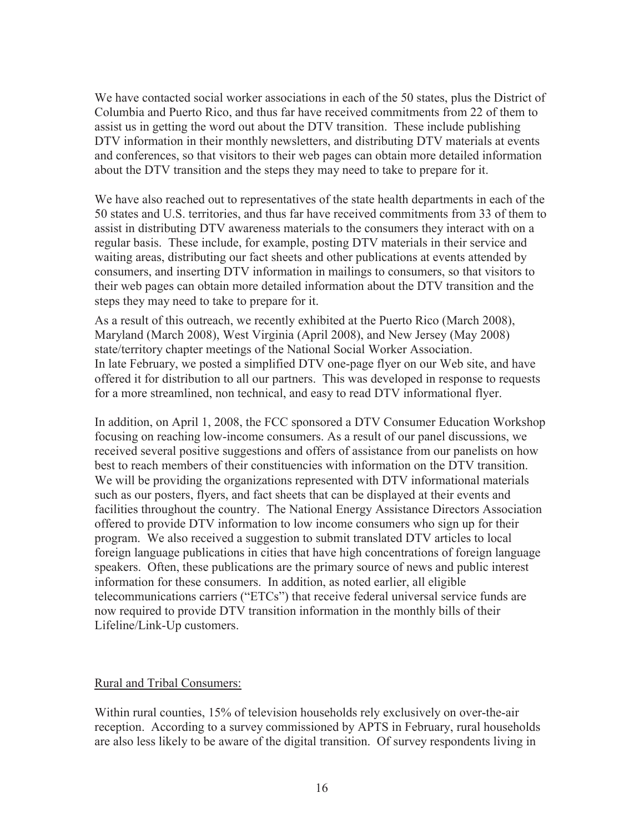We have contacted social worker associations in each of the 50 states, plus the District of Columbia and Puerto Rico, and thus far have received commitments from 22 of them to assist us in getting the word out about the DTV transition. These include publishing DTV information in their monthly newsletters, and distributing DTV materials at events and conferences, so that visitors to their web pages can obtain more detailed information about the DTV transition and the steps they may need to take to prepare for it.

We have also reached out to representatives of the state health departments in each of the 50 states and U.S. territories, and thus far have received commitments from 33 of them to assist in distributing DTV awareness materials to the consumers they interact with on a regular basis. These include, for example, posting DTV materials in their service and waiting areas, distributing our fact sheets and other publications at events attended by consumers, and inserting DTV information in mailings to consumers, so that visitors to their web pages can obtain more detailed information about the DTV transition and the steps they may need to take to prepare for it.

As a result of this outreach, we recently exhibited at the Puerto Rico (March 2008), Maryland (March 2008), West Virginia (April 2008), and New Jersey (May 2008) state/territory chapter meetings of the National Social Worker Association. In late February, we posted a simplified DTV one-page flyer on our Web site, and have offered it for distribution to all our partners. This was developed in response to requests for a more streamlined, non technical, and easy to read DTV informational flyer.

In addition, on April 1, 2008, the FCC sponsored a DTV Consumer Education Workshop focusing on reaching low-income consumers. As a result of our panel discussions, we received several positive suggestions and offers of assistance from our panelists on how best to reach members of their constituencies with information on the DTV transition. We will be providing the organizations represented with DTV informational materials such as our posters, flyers, and fact sheets that can be displayed at their events and facilities throughout the country. The National Energy Assistance Directors Association offered to provide DTV information to low income consumers who sign up for their program. We also received a suggestion to submit translated DTV articles to local foreign language publications in cities that have high concentrations of foreign language speakers. Often, these publications are the primary source of news and public interest information for these consumers. In addition, as noted earlier, all eligible telecommunications carriers ("ETCs") that receive federal universal service funds are now required to provide DTV transition information in the monthly bills of their Lifeline/Link-Up customers.

#### Rural and Tribal Consumers:

Within rural counties, 15% of television households rely exclusively on over-the-air reception. According to a survey commissioned by APTS in February, rural households are also less likely to be aware of the digital transition. Of survey respondents living in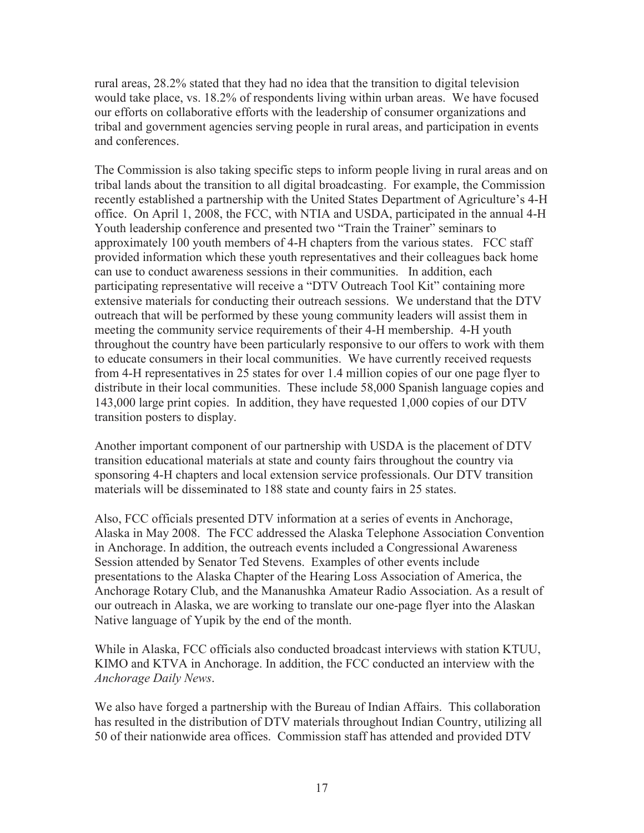rural areas, 28.2% stated that they had no idea that the transition to digital television would take place, vs. 18.2% of respondents living within urban areas. We have focused our efforts on collaborative efforts with the leadership of consumer organizations and tribal and government agencies serving people in rural areas, and participation in events and conferences.

The Commission is also taking specific steps to inform people living in rural areas and on tribal lands about the transition to all digital broadcasting. For example, the Commission recently established a partnership with the United States Department of Agriculture's 4-H office. On April 1, 2008, the FCC, with NTIA and USDA, participated in the annual 4-H Youth leadership conference and presented two "Train the Trainer" seminars to approximately 100 youth members of 4-H chapters from the various states. FCC staff provided information which these youth representatives and their colleagues back home can use to conduct awareness sessions in their communities. In addition, each participating representative will receive a "DTV Outreach Tool Kit" containing more extensive materials for conducting their outreach sessions. We understand that the DTV outreach that will be performed by these young community leaders will assist them in meeting the community service requirements of their 4-H membership. 4-H youth throughout the country have been particularly responsive to our offers to work with them to educate consumers in their local communities. We have currently received requests from 4-H representatives in 25 states for over 1.4 million copies of our one page flyer to distribute in their local communities. These include 58,000 Spanish language copies and 143,000 large print copies. In addition, they have requested 1,000 copies of our DTV transition posters to display.

Another important component of our partnership with USDA is the placement of DTV transition educational materials at state and county fairs throughout the country via sponsoring 4-H chapters and local extension service professionals. Our DTV transition materials will be disseminated to 188 state and county fairs in 25 states.

Also, FCC officials presented DTV information at a series of events in Anchorage, Alaska in May 2008. The FCC addressed the Alaska Telephone Association Convention in Anchorage. In addition, the outreach events included a Congressional Awareness Session attended by Senator Ted Stevens. Examples of other events include presentations to the Alaska Chapter of the Hearing Loss Association of America, the Anchorage Rotary Club, and the Mananushka Amateur Radio Association. As a result of our outreach in Alaska, we are working to translate our one-page flyer into the Alaskan Native language of Yupik by the end of the month.

While in Alaska, FCC officials also conducted broadcast interviews with station KTUU, KIMO and KTVA in Anchorage. In addition, the FCC conducted an interview with the *Anchorage Daily News*.

We also have forged a partnership with the Bureau of Indian Affairs. This collaboration has resulted in the distribution of DTV materials throughout Indian Country, utilizing all 50 of their nationwide area offices. Commission staff has attended and provided DTV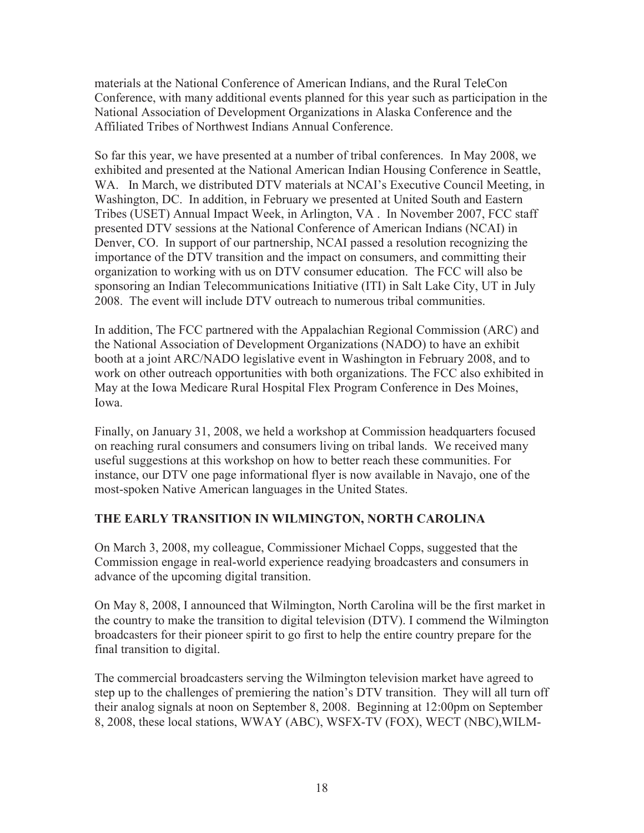materials at the National Conference of American Indians, and the Rural TeleCon Conference, with many additional events planned for this year such as participation in the National Association of Development Organizations in Alaska Conference and the Affiliated Tribes of Northwest Indians Annual Conference.

So far this year, we have presented at a number of tribal conferences. In May 2008, we exhibited and presented at the National American Indian Housing Conference in Seattle, WA. In March, we distributed DTV materials at NCAI's Executive Council Meeting, in Washington, DC. In addition, in February we presented at United South and Eastern Tribes (USET) Annual Impact Week, in Arlington, VA . In November 2007, FCC staff presented DTV sessions at the National Conference of American Indians (NCAI) in Denver, CO. In support of our partnership, NCAI passed a resolution recognizing the importance of the DTV transition and the impact on consumers, and committing their organization to working with us on DTV consumer education. The FCC will also be sponsoring an Indian Telecommunications Initiative (ITI) in Salt Lake City, UT in July 2008. The event will include DTV outreach to numerous tribal communities.

In addition, The FCC partnered with the Appalachian Regional Commission (ARC) and the National Association of Development Organizations (NADO) to have an exhibit booth at a joint ARC/NADO legislative event in Washington in February 2008, and to work on other outreach opportunities with both organizations. The FCC also exhibited in May at the Iowa Medicare Rural Hospital Flex Program Conference in Des Moines, Iowa.

Finally, on January 31, 2008, we held a workshop at Commission headquarters focused on reaching rural consumers and consumers living on tribal lands. We received many useful suggestions at this workshop on how to better reach these communities. For instance, our DTV one page informational flyer is now available in Navajo, one of the most-spoken Native American languages in the United States.

### **THE EARLY TRANSITION IN WILMINGTON, NORTH CAROLINA**

On March 3, 2008, my colleague, Commissioner Michael Copps, suggested that the Commission engage in real-world experience readying broadcasters and consumers in advance of the upcoming digital transition.

On May 8, 2008, I announced that Wilmington, North Carolina will be the first market in the country to make the transition to digital television (DTV). I commend the Wilmington broadcasters for their pioneer spirit to go first to help the entire country prepare for the final transition to digital.

The commercial broadcasters serving the Wilmington television market have agreed to step up to the challenges of premiering the nation's DTV transition. They will all turn off their analog signals at noon on September 8, 2008. Beginning at 12:00pm on September 8, 2008, these local stations, WWAY (ABC), WSFX-TV (FOX), WECT (NBC),WILM-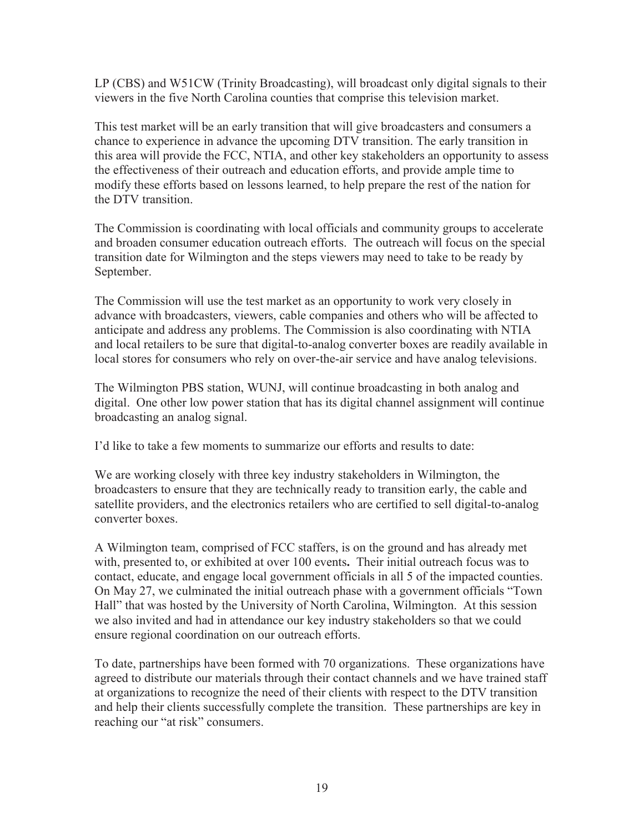LP (CBS) and W51CW (Trinity Broadcasting), will broadcast only digital signals to their viewers in the five North Carolina counties that comprise this television market.

This test market will be an early transition that will give broadcasters and consumers a chance to experience in advance the upcoming DTV transition. The early transition in this area will provide the FCC, NTIA, and other key stakeholders an opportunity to assess the effectiveness of their outreach and education efforts, and provide ample time to modify these efforts based on lessons learned, to help prepare the rest of the nation for the DTV transition.

The Commission is coordinating with local officials and community groups to accelerate and broaden consumer education outreach efforts. The outreach will focus on the special transition date for Wilmington and the steps viewers may need to take to be ready by September.

The Commission will use the test market as an opportunity to work very closely in advance with broadcasters, viewers, cable companies and others who will be affected to anticipate and address any problems. The Commission is also coordinating with NTIA and local retailers to be sure that digital-to-analog converter boxes are readily available in local stores for consumers who rely on over-the-air service and have analog televisions.

The Wilmington PBS station, WUNJ, will continue broadcasting in both analog and digital. One other low power station that has its digital channel assignment will continue broadcasting an analog signal.

I'd like to take a few moments to summarize our efforts and results to date:

We are working closely with three key industry stakeholders in Wilmington, the broadcasters to ensure that they are technically ready to transition early, the cable and satellite providers, and the electronics retailers who are certified to sell digital-to-analog converter boxes.

A Wilmington team, comprised of FCC staffers, is on the ground and has already met with, presented to, or exhibited at over 100 events**.** Their initial outreach focus was to contact, educate, and engage local government officials in all 5 of the impacted counties. On May 27, we culminated the initial outreach phase with a government officials "Town Hall" that was hosted by the University of North Carolina, Wilmington. At this session we also invited and had in attendance our key industry stakeholders so that we could ensure regional coordination on our outreach efforts.

To date, partnerships have been formed with 70 organizations. These organizations have agreed to distribute our materials through their contact channels and we have trained staff at organizations to recognize the need of their clients with respect to the DTV transition and help their clients successfully complete the transition. These partnerships are key in reaching our "at risk" consumers.